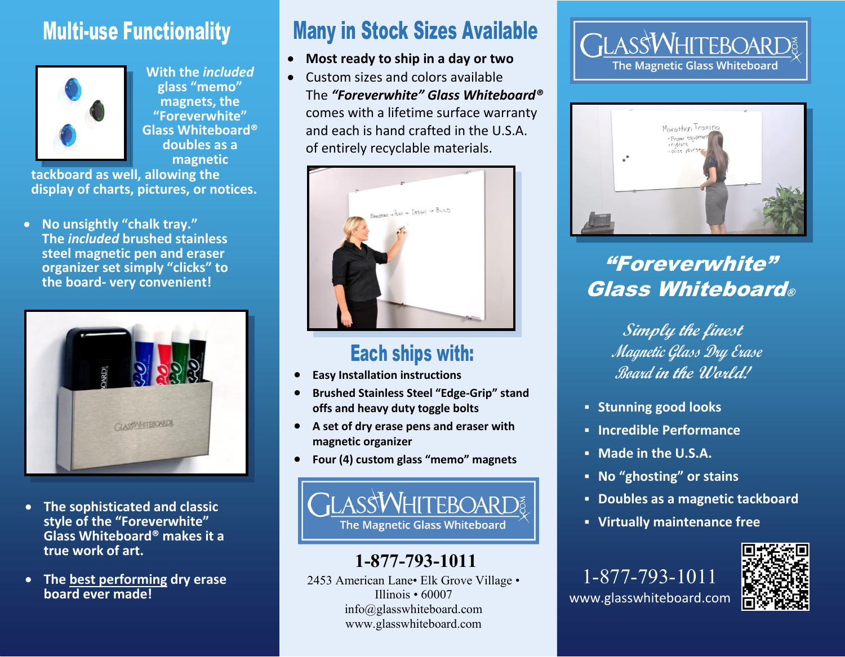# Multi-use Functionality



**With the** *included* **glass "memo" magnets, the "Foreverwhite" Glass Whiteboard® doubles as a magnetic**

**tackboard as well, allowing the display of charts, pictures, or notices.**

 **No unsightly "chalk tray." The** *included* **brushed stainless steel magnetic pen and eraser organizer set simply "clicks" to the board- very convenient!**



- **The sophisticated and classic style of the "Foreverwhite" Glass Whiteboard® makes it a true work of art.**
- **The best performing dry erase board ever made!**

# Many in Stock Sizes Available

- **Most ready to ship in a day or two**
- Custom sizes and colors available The *"Foreverwhite" Glass Whiteboard®* comes with a lifetime surface warranty and each is hand crafted in the U.S.A. of entirely recyclable materials.



# Each ships with:

- **Easy Installation instructions**
- **Brushed Stainless Steel "Edge-Grip" stand offs and heavy duty toggle bolts**
- **A set of dry erase pens and eraser with magnetic organizer**
- **Four (4) custom glass "memo" magnets**



## **1-877-793-1011**

2453 American Lane• Elk Grove Village • Illinois • 60007 info@glasswhiteboard.com www.glasswhiteboard.com

## **GLASSWHITEBOARD The Magnetic Glass Whiteboard**



# "Foreverwhite" Glass Whiteboard®

**Simply the finest Magnetic Glass Dry Erase Board in the World!**

- **Stunning good looks**
- **Incredible Performance**
- **Made in the U.S.A.**
- **No "ghosting" or stains**
- **Doubles as a magnetic tackboard**
- **Virtually maintenance free**

1-877-793-1011 www.glasswhiteboard.com